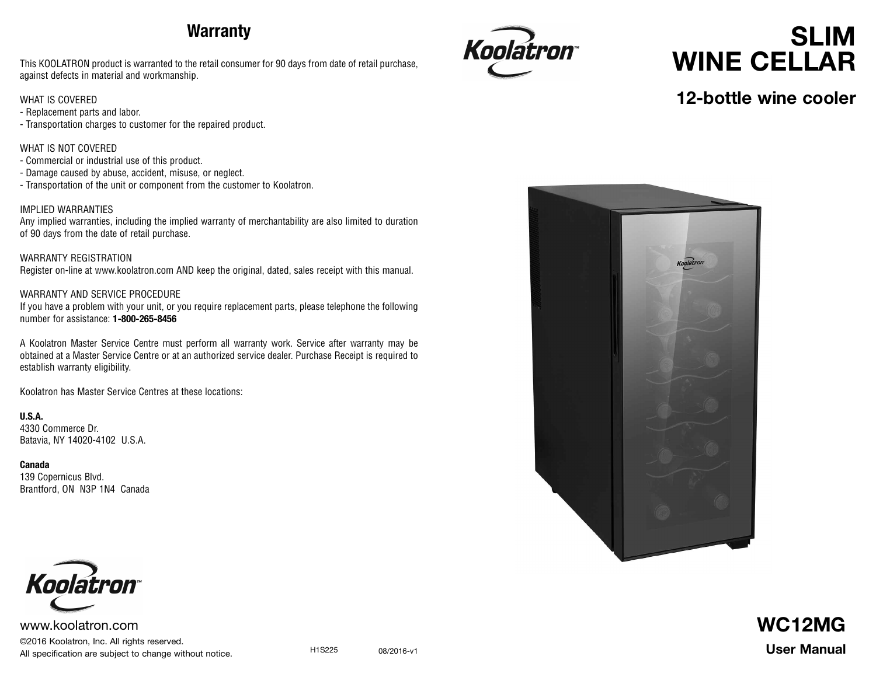# **Warranty**

This KOOLATRON product is warranted to the retail consumer for 90 days from date of retail purchase, against defects in material and workmanship.

#### WHAT IS COVERED

- Replacement parts and labor.
- Transportation charges to customer for the repaired product.

#### WHAT IS NOT COVERED

- Commercial or industrial use of this product.
- Damage caused by abuse, accident, misuse, or neglect.
- Transportation of the unit or component from the customer to Koolatron.

#### IMPLIED WARRANTIES

Any implied warranties, including the implied warranty of merchantability are also limited to duration of 90 days from the date of retail purchase.

WARRANTY REGISTRATION Register on-line at www.koolatron.com AND keep the original, dated, sales receipt with this manual.

#### WARRANTY AND SERVICE PROCEDURE

If you have a problem with your unit, or you require replacement parts, please telephone the following number for assistance: **1-800-265-8456**

A Koolatron Master Service Centre must perform all warranty work. Service after warranty may be obtained at a Master Service Centre or at an authorized service dealer. Purchase Receipt is required to establish warranty eligibility.

Koolatron has Master Service Centres at these locations:

**U.S.A.** 4330 Commerce Dr. Batavia, NY 14020-4102 U.S.A.

**Canada** 139 Copernicus Blvd. Brantford, ON N3P 1N4 Canada



www.koolatron.com ©2016 Koolatron, Inc. All rights reserved. All specification are subject to change without notice.

H1S225 08/2016-v1



# **SLIM WINE CELLAR**

### **12-bottle wine cooler**



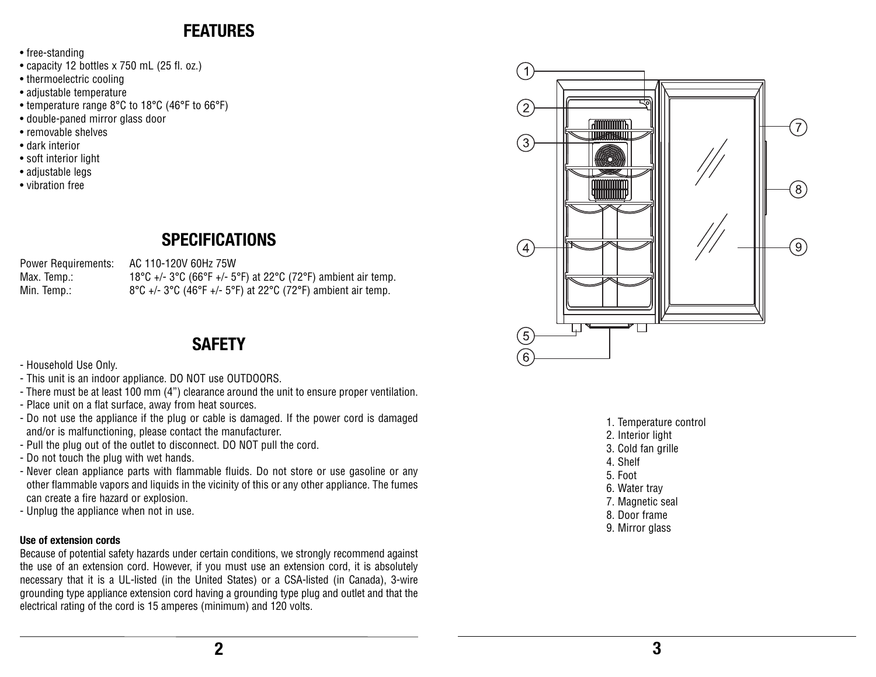### **FEATURES**

- free-standing
- capacity 12 bottles x 750 mL (25 fl. oz.)
- thermoelectric cooling
- adjustable temperature
- temperature range 8°C to 18°C (46°F to 66°F)
- double-paned mirror glass door
- removable shelves
- dark interior
- soft interior light
- adjustable legs
- vibration free

# **SPECIFICATIONS**

Power Requirements: AC 110-120V 60Hz 75W

Max. Temp.: 18°C +/- 3°C (66°F +/- 5°F) at 22°C (72°F) ambient air temp. Min. Temp.: 8°C +/- 3°C (46°F +/- 5°F) at 22°C (72°F) ambient air temp.

### **SAFETY**

- Household Use Only.
- This unit is an indoor appliance. DO NOT use OUTDOORS.
- There must be at least 100 mm (4") clearance around the unit to ensure proper ventilation.
- Place unit on a flat surface, away from heat sources.
- Do not use the appliance if the plug or cable is damaged. If the power cord is damaged and/or is malfunctioning, please contact the manufacturer.
- Pull the plug out of the outlet to disconnect. DO NOT pull the cord.
- Do not touch the plug with wet hands.
- Never clean appliance parts with flammable fluids. Do not store or use gasoline or any other flammable vapors and liquids in the vicinity of this or any other appliance. The fumes can create a fire hazard or explosion.
- Unplug the appliance when not in use.

### **Use of extension cords**

Because of potential safety hazards under certain conditions, we strongly recommend against the use of an extension cord. However, if you must use an extension cord, it is absolutely necessary that it is a UL-listed (in the United States) or a CSA-listed (in Canada), 3-wire grounding type appliance extension cord having a grounding type plug and outlet and that the electrical rating of the cord is 15 amperes (minimum) and 120 volts.



- 1. Temperature control
- 2. Interior light
- 3. Cold fan grille
- 4. Shelf
- 5. Foot
- 6. Water tray
- 7. Magnetic seal
- 8. Door frame
- 9. Mirror glass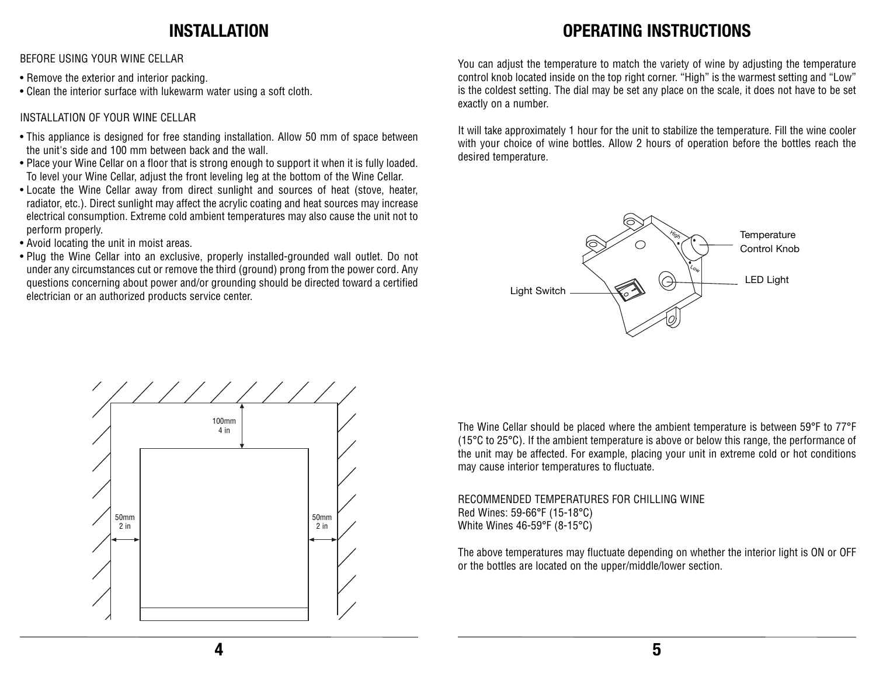### **INSTALLATION**

BEFORE USING YOUR WINE CELLAR

- Remove the exterior and interior packing.
- Clean the interior surface with lukewarm water using a soft cloth.

### INSTALLATION OF YOUR WINE CELLAR

- This appliance is designed for free standing installation. Allow 50 mm of space between the unit's side and 100 mm between back and the wall.
- Place your Wine Cellar on a floor that is strong enough to support it when it is fully loaded. To level your Wine Cellar, adjust the front leveling leg at the bottom of the Wine Cellar.
- Locate the Wine Cellar away from direct sunlight and sources of heat (stove, heater, radiator, etc.). Direct sunlight may affect the acrylic coating and heat sources may increase electrical consumption. Extreme cold ambient temperatures may also cause the unit not to perform properly.
- Avoid locating the unit in moist areas.
- Plug the Wine Cellar into an exclusive, properly installed-grounded wall outlet. Do not under any circumstances cut or remove the third (ground) prong from the power cord. Any questions concerning about power and/or grounding should be directed toward a certified electrician or an authorized products service center.

# **OPERATING INSTRUCTIONS**

You can adjust the temperature to match the variety of wine by adjusting the temperature control knob located inside on the top right corner. "High" is the warmest setting and "Low" is the coldest setting. The dial may be set any place on the scale, it does not have to be set exactly on a number.

It will take approximately 1 hour for the unit to stabilize the temperature. Fill the wine cooler with your choice of wine bottles. Allow 2 hours of operation before the bottles reach the desired temperature.

![](_page_2_Figure_13.jpeg)

![](_page_2_Figure_14.jpeg)

The Wine Cellar should be placed where the ambient temperature is between 59°F to 77°F (15°C to 25°C). If the ambient temperature is above or below this range, the performance of the unit may be affected. For example, placing your unit in extreme cold or hot conditions may cause interior temperatures to fluctuate.

RECOMMENDED TEMPERATURES FOR CHILLING WINE Red Wines: 59-66°F (15-18°C) White Wines 46-59°F (8-15°C)

The above temperatures may fluctuate depending on whether the interior light is ON or OFF or the bottles are located on the upper/middle/lower section.